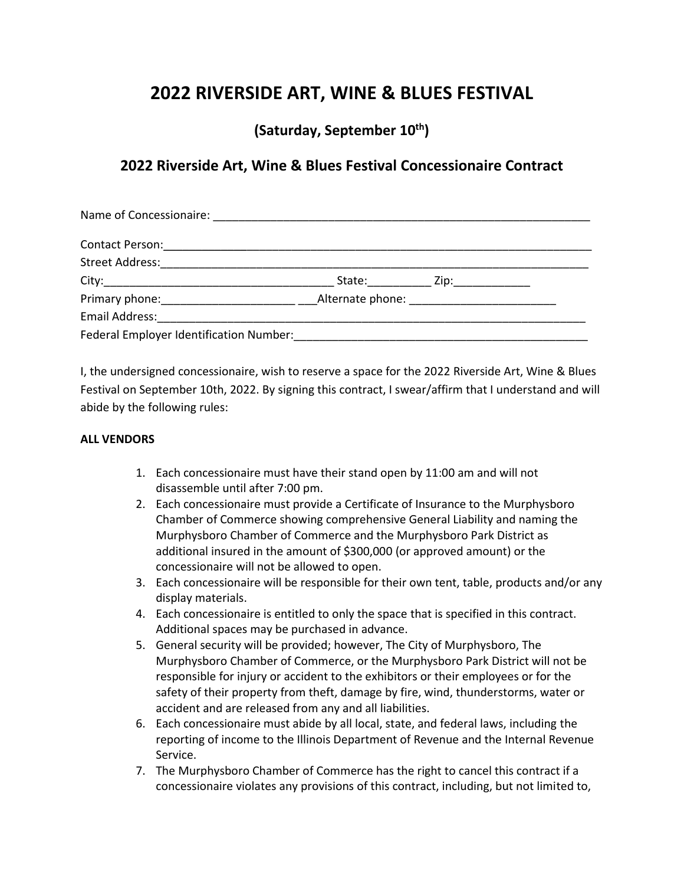# **2022 RIVERSIDE ART, WINE & BLUES FESTIVAL**

**(Saturday, September 10th)**

## **2022 Riverside Art, Wine & Blues Festival Concessionaire Contract**

|                                         | State: _______________ Zip: _______________ |
|-----------------------------------------|---------------------------------------------|
|                                         |                                             |
|                                         |                                             |
| Federal Employer Identification Number: |                                             |

I, the undersigned concessionaire, wish to reserve a space for the 2022 Riverside Art, Wine & Blues Festival on September 10th, 2022. By signing this contract, I swear/affirm that I understand and will abide by the following rules:

### **ALL VENDORS**

- 1. Each concessionaire must have their stand open by 11:00 am and will not disassemble until after 7:00 pm.
- 2. Each concessionaire must provide a Certificate of Insurance to the Murphysboro Chamber of Commerce showing comprehensive General Liability and naming the Murphysboro Chamber of Commerce and the Murphysboro Park District as additional insured in the amount of \$300,000 (or approved amount) or the concessionaire will not be allowed to open.
- 3. Each concessionaire will be responsible for their own tent, table, products and/or any display materials.
- 4. Each concessionaire is entitled to only the space that is specified in this contract. Additional spaces may be purchased in advance.
- 5. General security will be provided; however, The City of Murphysboro, The Murphysboro Chamber of Commerce, or the Murphysboro Park District will not be responsible for injury or accident to the exhibitors or their employees or for the safety of their property from theft, damage by fire, wind, thunderstorms, water or accident and are released from any and all liabilities.
- 6. Each concessionaire must abide by all local, state, and federal laws, including the reporting of income to the Illinois Department of Revenue and the Internal Revenue Service.
- 7. The Murphysboro Chamber of Commerce has the right to cancel this contract if a concessionaire violates any provisions of this contract, including, but not limited to,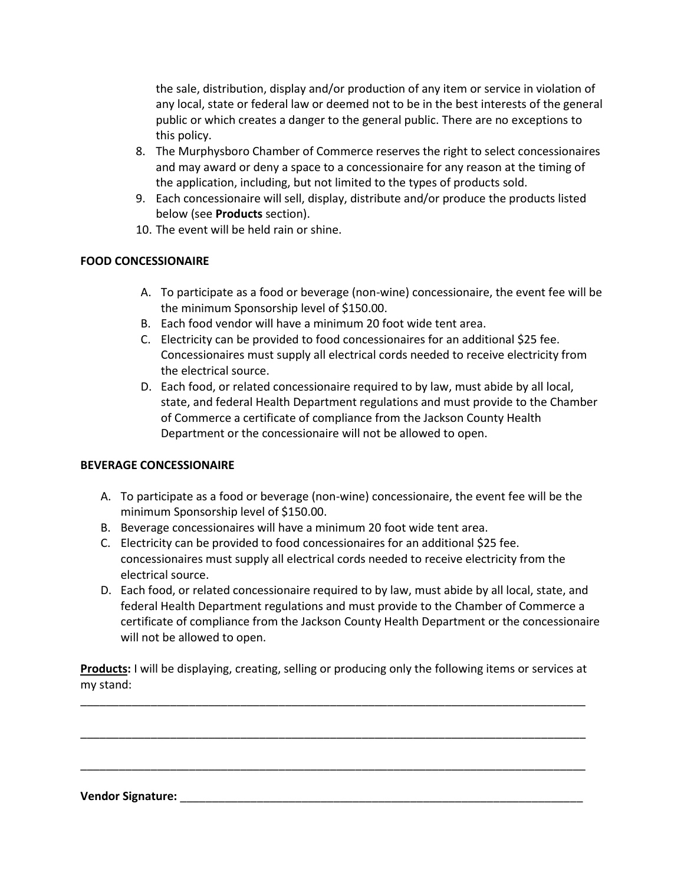the sale, distribution, display and/or production of any item or service in violation of any local, state or federal law or deemed not to be in the best interests of the general public or which creates a danger to the general public. There are no exceptions to this policy.

- 8. The Murphysboro Chamber of Commerce reserves the right to select concessionaires and may award or deny a space to a concessionaire for any reason at the timing of the application, including, but not limited to the types of products sold.
- 9. Each concessionaire will sell, display, distribute and/or produce the products listed below (see **Products** section).
- 10. The event will be held rain or shine.

## **FOOD CONCESSIONAIRE**

- A. To participate as a food or beverage (non-wine) concessionaire, the event fee will be the minimum Sponsorship level of \$150.00.
- B. Each food vendor will have a minimum 20 foot wide tent area.
- C. Electricity can be provided to food concessionaires for an additional \$25 fee. Concessionaires must supply all electrical cords needed to receive electricity from the electrical source.
- D. Each food, or related concessionaire required to by law, must abide by all local, state, and federal Health Department regulations and must provide to the Chamber of Commerce a certificate of compliance from the Jackson County Health Department or the concessionaire will not be allowed to open.

### **BEVERAGE CONCESSIONAIRE**

- A. To participate as a food or beverage (non-wine) concessionaire, the event fee will be the minimum Sponsorship level of \$150.00.
- B. Beverage concessionaires will have a minimum 20 foot wide tent area.
- C. Electricity can be provided to food concessionaires for an additional \$25 fee. concessionaires must supply all electrical cords needed to receive electricity from the electrical source.
- D. Each food, or related concessionaire required to by law, must abide by all local, state, and federal Health Department regulations and must provide to the Chamber of Commerce a certificate of compliance from the Jackson County Health Department or the concessionaire will not be allowed to open.

**Products:** I will be displaying, creating, selling or producing only the following items or services at my stand:

\_\_\_\_\_\_\_\_\_\_\_\_\_\_\_\_\_\_\_\_\_\_\_\_\_\_\_\_\_\_\_\_\_\_\_\_\_\_\_\_\_\_\_\_\_\_\_\_\_\_\_\_\_\_\_\_\_\_\_\_\_\_\_\_\_\_\_\_\_\_\_\_\_\_\_\_\_\_\_

\_\_\_\_\_\_\_\_\_\_\_\_\_\_\_\_\_\_\_\_\_\_\_\_\_\_\_\_\_\_\_\_\_\_\_\_\_\_\_\_\_\_\_\_\_\_\_\_\_\_\_\_\_\_\_\_\_\_\_\_\_\_\_\_\_\_\_\_\_\_\_\_\_\_\_\_\_\_\_

\_\_\_\_\_\_\_\_\_\_\_\_\_\_\_\_\_\_\_\_\_\_\_\_\_\_\_\_\_\_\_\_\_\_\_\_\_\_\_\_\_\_\_\_\_\_\_\_\_\_\_\_\_\_\_\_\_\_\_\_\_\_\_\_\_\_\_\_\_\_\_\_\_\_\_\_\_\_\_

**Vendor Signature:** \_\_\_\_\_\_\_\_\_\_\_\_\_\_\_\_\_\_\_\_\_\_\_\_\_\_\_\_\_\_\_\_\_\_\_\_\_\_\_\_\_\_\_\_\_\_\_\_\_\_\_\_\_\_\_\_\_\_\_\_\_\_\_